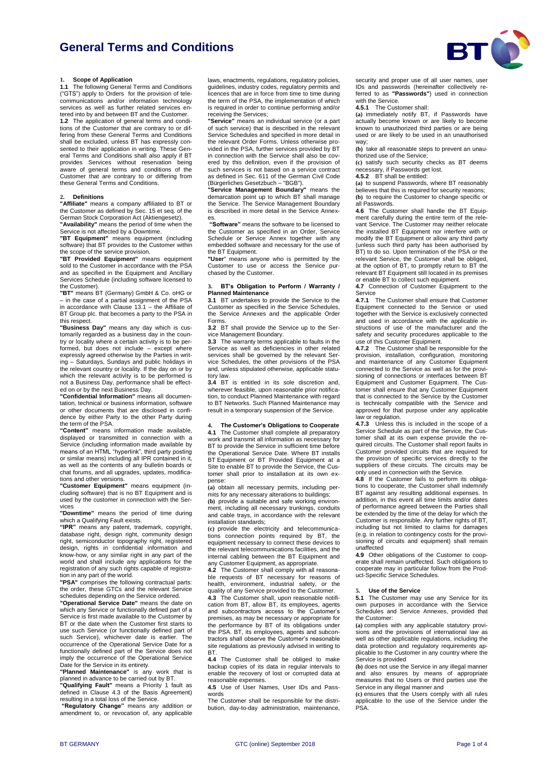# **General Terms and Conditions**



**1. Scope of Application 1.1** The following General Terms and Conditions ("GTS") apply to Orders for the provision of telecommunications and/or information technology services as well as further related services en-tered into by and between BT and the Customer. **1.2** The application of general terms and conditions of the Customer that are contrary to or dif-fering from these General Terms and Conditions shall be excluded, unless BT has expressly consented to their application in writing. These Gen-eral Terms and Conditions shall also apply if BT provides Services without reservation being aware of general terms and conditions of the Customer that are contrary to or differing from these General Terms and Conditions.

## **2. Definitions**

**"Affiliate"** means a company affiliated to BT or the Customer as defined by Sec. 15 et seq. of the German Stock Corporation Act (Aktiengesetz). **"Availability"** means the period of time when the

Service is not affected by a Downtime. **"BT Equipment"** means equipment (including

software) that BT provides to the Customer within the scope of the service provision. **"BT Provided Equipment"** means equipment

sold to the Customer in accordance with the PSA and as specified in the Equipment and Ancillary Services Schedule (including software licensed to the Customer).

**"BT"** means BT (Germany) GmbH & Co. oHG or – in the case of a partial assignment of the PSA in accordance with Clause [13.1](#page-2-0) – the Affiliate of BT Group plc. that becomes a party to the PSA in this respect.

**"Business Day"** means any day which is customarily regarded as a business day in the coun-try or locality where a certain activity is to be performed, but does not include – except where expressly agreed otherwise by the Parties in writ-ing – Saturdays, Sundays and public holidays in the relevant country or locality. If the day on or by which the relevant activity is to be performed is not a Business Day, performance shall be effected on or by the next Business Day.

**"Confidential Information"** means all documen-tation, technical or business information, software or other documents that are disclosed in confidence by either Party to the other Party during the term of the PSA.

**"Content"** means information made available, displayed or transmitted in connection with a Service (including information made available by means of an HTML "hyperlink", third party posting or similar means) including all IPR contained in it, as well as the contents of any bulletin boards or chat forums, and all upgrades, updates, modifications and other versions.

**"Customer Equipment"** means equipment (including software) that is no BT Equipment and is used by the customer in connection with the Services

**"Downtime"** means the period of time during

which a Qualifying Fault exists.<br>**"IPR**" means any patent, trademark, copyright,<br>database right, design right, community design right, semiconductor topography right, registered design, rights in confidential information and know-how, or any similar right in any part of the world and shall include any applications for the registration of any such rights capable of registra-

tion in any part of the world. **"PSA"** comprises the following contractual parts: the order, these GTCs and the relevant Service schedules depending on the Service ordered. **"Operational Service Date"** means the date on

which any Service or functionally defined part of a Service is first made available to the Customer by BT or the date when the Customer first starts to use such Service (or functionally defined part of such Service), whichever date is earlier. The occurrence of the Operational Service Date for a functionally defined part of the Service does not imply the occurrence of the Operational Service Date for the Service in its entirety. **"Planned Maintenance"** is any work that is

planned in advance to be carried out by BT. **"Qualifying Fault"** means a Priority 1 fault as defined in Clause 4.3 of the Basis Agreement)

resulting in a total loss of the Service. **"Regulatory Change"** means any addition or

amendment to, or revocation of, any applicable

laws, enactments, regulations, regulatory policies, guidelines, industry codes, regulatory permits and licences that are in force from time to time during the term of the PSA, the implementation of which is required in order to continue performing and/or receiving the Services;

**"Service"** means an individual service (or a part of such service) that is described in the relevant Service Schedules and specified in more detail in the relevant Order Forms. Unless otherwise provided in the PSA, further services provided by BT in connection with the Service shall also be covered by this definition, even if the provision of such services is not based on a service contract as defined in Sec. 611 of the German Civil Code

(Bürgerliches Gesetzbuch – "BGB"). **"Service Management Boundary"** means the demarcation point up to which BT shall manage the Service. The Service Management Boundary is described in more detail in the Service Annexes.

**"Software"** means the software to be licensed to the Customer as specified in an Order, Service Schedule or Service Annex together with any embedded software and necessary for the use of the BT Equipment.

**"User**" means anyone who is permitted by the Customer to use or access the Service purchased by the Customer.

#### **3. BT's Obligation to Perform / Warranty / Planned Maintenance**

**3.1** BT undertakes to provide the Service to the Customer as specified in the Service Schedules, the Service Annexes and the applicable Order Forms.

**3.2** BT shall provide the Service up to the Ser-

vice Management Boundary. **3.3** The warranty terms applicable to faults in the Service as well as deficiencies in other related services shall be governed by the relevant Ser-vice Schedules, the other provisions of the PSA and, unless stipulated otherwise, applicable statu-

tory law. **3.4** BT is entitled in its sole discretion and, wherever feasible, upon reasonable prior notification, to conduct Planned Maintenance with regard to BT Networks. Such Planned Maintenance may result in a temporary suspension of the Service.

### **4. The Customer's Obligations to Cooperate**

4.1 The Customer shall complete all preparatory work and transmit all information as necessary for BT to provide the Service in sufficient time before the Operational Service Date. Where BT installs BT Equipment or BT Provided Equipment at a Site to enable BT to provide the Service, the Customer shall prior to installation at its own expense:

**(a)** obtain all necessary permits, including per-mits for any necessary alterations to buildings; **(b)** provide a suitable and safe working environ-

ment, including all necessary trunkings, conduits and cable trays, in accordance with the relevant installation standards;

**(c)** provide the electricity and telecommunica-tions connection points required by BT, the equipment necessary to connect these devices to the relevant telecommunications facilities, and the internal cabling between the BT Equipment and any Customer Equipment, as appropriate.

**4.2** The Customer shall comply with all reasona-ble requests of BT necessary for reasons of health, environment, industrial safety, or the

quality of any Service provided to the Customer. **4.3** The Customer shall, upon reasonable notification from BT, allow BT, its employees, agents and subcontractors access to the Customer's premises, as may be necessary or appropriate for the performance by BT of its obligations under the PSA. BT, its employees, agents and subcon-tractors shall observe the Customer's reasonable site regulations as previously advised in writing to **BT.** 

**4.4** The Customer shall be obliged to make backup copies of its data in regular intervals to enable the recovery of lost or corrupted data at reasonable expenses.

**4.5** Use of User Names, User IDs and Passwords

The Customer shall be responsible for the distribution, day-to-day administration, maintenance, security and proper use of all user names, user IDs and passwords (hereinafter collectively re-ferred to as **"Passwords"**) used in connection with the Service.

**4.5.1** The Customer shall: **(a)** immediately notify BT, if Passwords have actually become known or are likely to become known to unauthorized third parties or are being used or are likely to be used in an unauthorised way;

**(b)** take all reasonable steps to prevent an unau-thorized use of the Service;

**(c)** satisfy such security checks as BT deems necessary, if Passwords get lost. **4.5.2** BT shall be entitled:

**(a)** to suspend Passwords, where BT reasonably believes that this is required for security reasons; **(b)** to require the Customer to change specific or all Passwords.

**4.6** The Customer shall handle the BT Equipment carefully during the entire term of the relevant Service. The Customer may neither relocate the installed BT Equipment nor interfere with or modify the BT Equipment or allow any third party (unless such third party has been authorised by BT) to do so. Upon termination of the PSA or the relevant Service, the Customer shall be obliged, at the option of BT, to promptly return to BT the relevant BT Equipment still located in its premises or enable BT to collect such equipment.

**4.7** Connection of Customer Equipment to the

Service **4.7.1** The Customer shall ensure that Customer Equipment connected to the Service or used together with the Service is exclusively connected and used in accordance with the applicable instructions of use of the manufacturer and the safety and security procedures applicable to the use of this Customer Equipment.

**4.7.2** The Customer shall be responsible for the provision, installation, configuration, monitoring and maintenance of any Customer Equipment connected to the Service as well as for the provisioning of connections or interfaces between BT Equipment and Customer Equipment. The Customer shall ensure that any Customer Equipment that is connected to the Service by the Customer is technically compatible with the Service and approved for that purpose under any applicable law or regulation.

**4.7.3** Unless this is included in the scope of a Service Schedule as part of the Service, the Customer shall at its own expense provide the re-quired circuits. The Customer shall report faults in Customer provided circuits that are required for the provision of specific services directly to the suppliers of these circuits. The circuits may be

only used in connection with the Service. **4.8** If the Customer fails to perform its obliga-tions to cooperate, the Customer shall indemnify BT against any resulting additional expenses. In addition, in this event all time limits and/or dates of performance agreed between the Parties shall be extended by the time of the delay for which the Customer is responsible. Any further rights of BT, including but not limited to claims for damages (e.g. in relation to contingency costs for the provisioning of circuits and equipment) shall remain unaffected

**4.9** Other obligations of the Customer to cooperate shall remain unaffected. Such obligations to cooperate may in particular follow from the Product-Specific Service Schedules.

#### **5. Use of the Service**

**5.1** The Customer may use any Service for its own purposes in accordance with the Service Schedules and Service Annexes, provided that the Customer:

**(a)** complies with any applicable statutory provisions and the provisions of international law as well as other applicable regulations, including the data protection and regulatory requirements applicable to the Customer in any country where the Service is provided

**(b)** does not use the Service in any illegal manner and also ensures by means of appropriate measures that no Users or third parties use the Service in any illegal manner and

**(c)** ensures that the Users comply with all rules applicable to the use of the Service under the PSA.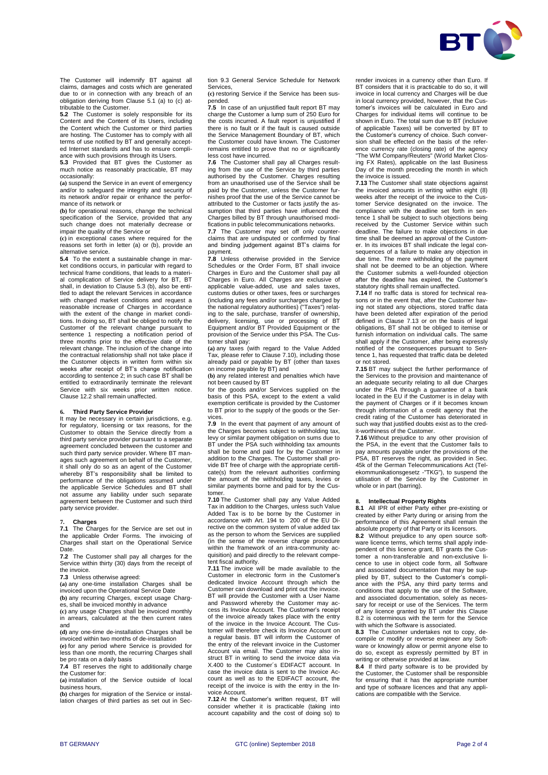

The Customer will indemnify BT against all claims, damages and costs which are generated due to or in connection with any breach of an obligation deriving from Clause 5.1 (a) to (c) at-

tributable to the Customer. **5.2** The Customer is solely responsible for its Content and the Content of its Users, including the Content which the Customer or third parties are hosting. The Customer has to comply with all terms of use notified by BT and generally accepted Internet standards and has to ensure compli-ance with such provisions through its Users.

**5.3** Provided that BT gives the Customer as much notice as reasonably practicable, BT may occasionally:

**(a)** suspend the Service in an event of emergency and/or to safeguard the integrity and security of its network and/or repair or enhance the performance of its network or

**(b)** for operational reasons, change the technical specification of the Service, provided that any such change does not materially decrease or

impair the quality of the Service or **(c)** in exceptional cases where required for the reasons set forth in letter (a) or (b), provide an alternative service.

**5.4** To the extent a sustainable change in market conditions occurs, in particular with regard to technical frame conditions, that leads to a materi-al complication of Service delivery for BT, BT shall, in deviation to Clause 5.3 (b), also be entitled to adapt the relevant Services in accordance with changed market conditions and request a reasonable increase of Charges in accordance with the extent of the change in market condi-tions. In doing so, BT shall be obliged to notify the Customer of the relevant change pursuant to sentence 1 respecting a notification period of three months prior to the effective date of the relevant change. The inclusion of the change into the contractual relationship shall not take place if the Customer objects in written form within six weeks after receipt of BT's change notification according to sentence 2; in such case BT shall be entitled to extraordinarily terminate the relevant Service with six weeks prior written notice. Clause 12.2 shall remain unaffected.

#### **6. Third Party Service Provider**

It may be necessary in certain jurisdictions, e.g. for regulatory, licensing or tax reasons, for the Customer to obtain the Service directly from a third party service provider pursuant to a separate agreement concluded between the customer and such third party service provider. Where BT man-ages such agreement on behalf of the Customer, it shall only do so as an agent of the Customer whereby BT's responsibility shall be limited to performance of the obligations assumed under the applicable Service Schedules and BT shall not assume any liability under such separate agreement between the Customer and such third party service provider.

#### **7. Charges**

**7.1** The Charges for the Service are set out in the applicable Order Forms. The invoicing of Charges shall start on the Operational Service

Date. **7.2** The Customer shall pay all charges for the Service within thirty (30) days from the receipt of the invoice.

**7.3** Unless otherwise agreed:

**(a)** any one-time installation Charges shall be invoiced upon the Operational Service Date

**(b)** any recurring Charges, except usage Charg-es, shall be invoiced monthly in advance

**(c)** any usage Charges shall be invoiced monthly in arrears, calculated at the then current rates and

**(d)** any one-time de-installation Charges shall be invoiced within two months of de-installation **(e)** for any period where Service is provided for

less than one month, the recurring Charges shall be pro rata on a daily basis **7.4** BT reserves the right to additionally charge

the Customer for: **(a)** installation of the Service outside of local

business hours,

**(b)** charges for migration of the Service or installation charges of third parties as set out in Section 9.3 General Service Schedule for Network Services,

**(c)** restoring Service if the Service has been sus-

pended.<br>**7.5** In case of an unjustified fault report BT may<br>charge the Customer a lump sum of 250 Euro for<br>the costs incurred. A fault report is unjustified if there is no fault or if the fault is caused outside the Service Management Boundary of BT, which the Customer could have known. The Customer remains entitled to prove that no or significantly less cost have incurred.

**7.6** The Customer shall pay all Charges result-ing from the use of the Service by third parties authorised by the Customer. Charges resulting from an unauthorised use of the Service shall be paid by the Customer, unless the Customer fur-nishes proof that the use of the Service cannot be attributed to the Customer or facts justify the as-sumption that third parties have influenced the Charges billed by BT through unauthorised modifications in public telecommunications networks.

**7.7** The Customer may set off only counter-claims that are undisputed or confirmed by final and binding judgement against BT's claims for payment. **7.8** Unless otherwise provided in the Service

Schedules or the Order Form, BT shall invoice Charges in Euro and the Customer shall pay all Charges in Euro. All Charges are exclusive of applicable value-added, use and sales taxes, customs duties or other taxes, fees or surcharges (including any fees and/or surcharges charged by the national regulatory authorities) ("Taxes") relating to the sale, purchase, transfer of ownership, delivery, licensing, use or processing of BT Equipment and/or BT Provided Equipment or the provision of the Service under this PSA. The Customer shall pay:

**(a)** any taxes (with regard to the Value Added Tax, please refer to Clause 7.10), including those already paid or payable by BT (other than taxes on income payable by BT) and

**(b)** any related interest and penalties which have not been caused by BT

for the goods and/or Services supplied on the basis of this PSA, except to the extent a valid exemption certificate is provided by the Customer to BT prior to the supply of the goods or the Services.

**7.9** In the event that payment of any amount of the Charges becomes subject to withholding tax, levy or similar payment obligation on sums due to BT under the PSA such withholding tax amounts shall be borne and paid for by the Customer in addition to the Charges. The Customer shall pro-vide BT free of charge with the appropriate certificate(s) from the relevant authorities confirming the amount of the withholding taxes, levies or similar payments borne and paid for by the Customer.

**7.10** The Customer shall pay any Value Added Tax in addition to the Charges, unless such Value Added Tax is to be borne by the Customer in accordance with Art. 194 to 200 of the EU Directive on the common system of value added tax as the person to whom the Services are supplied (in the sense of the reverse charge procedure within the framework of an intra-community acquisition) and paid directly to the relevant compe-

tent fiscal authority. **7.11** The invoice will be made available to the Customer in electronic form in the Customer's dedicated Invoice Account through which the Customer can download and print out the invoice. BT will provide the Customer with a User Name and Password whereby the Customer may ac-cess its Invoice Account. The Customer's receipt of the invoice already takes place with the entry of the invoice in the Invoice Account. The Cus-tomer will therefore check its Invoice Account on a regular basis. BT will inform the Customer of the entry of the relevant invoice in the Customer Account via email. The Customer may also instruct BT in writing to send the invoice data via X.400 to the Customer´s EDIFACT account. In case the invoice data is sent to the Invoice Account as well as to the EDIFACT account, the receipt of the invoice is with the entry in the Invoice Account.

**7.12** At the Customer's written request, BT will consider whether it is practicable (taking into account capability and the cost of doing so) to

render invoices in a currency other than Euro. If BT considers that it is practicable to do so, it will invoice in local currency and Charges will be due in local currency provided, however, that the Customer's invoices will be calculated in Euro and Charges for individual items will continue to be shown in Euro. The total sum due to BT (inclusive of applicable Taxes) will be converted by BT to the Customer's currency of choice. Such conversion shall be effected on the basis of the reference currency rate (closing rate) of the agency "The WM Company/Reuters" (World Market Closing FX Rates), applicable on the last Business Day of the month preceding the month in which the invoice is issued.

**7.13** The Customer shall state objections against the invoiced amounts in writing within eight (8) weeks after the receipt of the invoice to the Customer Service designated on the invoice. The compliance with the deadline set forth in sentence 1 shall be subject to such objections being received by the Customer Service within such deadline. The failure to make objections in due time shall be deemed an approval of the Customer. In its invoices BT shall indicate the legal consequences of a failure to make any objection in due time. The mere withholding of the payment shall not be deemed to be an objection. Where the Customer submits a well-founded objection after the deadline has expired, the Customer's statutory rights shall remain unaffected.

**7.14** If no traffic data is stored for technical rea-sons or in the event that, after the Customer having not stated any objections, stored traffic data have been deleted after expiration of the period defined in Clause 7.13 or on the basis of legal obligations, BT shall not be obliged to itemise or furnish information on individual calls. The same shall apply if the Customer, after being expressly notified of the consequences pursuant to Sentence 1, has requested that traffic data be deleted or not stored.

**7.15** BT may subject the further performance of the Services to the provision and maintenance of an adequate security relating to all due Charges under the PSA through a guarantee of a bank located in the EU if the Customer is in delay with the payment of Charges or if it becomes known through information of a credit agency that the credit rating of the Customer has deteriorated in such way that justified doubts exist as to the credit-worthiness of the Customer.

**7.16** Without prejudice to any other provision of the PSA, in the event that the Customer fails to pay amounts payable under the provisions of the PSA, BT reserves the right, as provided in Sec. 45k of the German Telecommunications Act (Telekommunikationsgesetz -"TKG"), to suspend the utilisation of the Service by the Customer in whole or in part (barring).

#### **8. Intellectual Property Rights**

**8.1** All IPR of either Party either pre-existing or created by either Party during or arising from the performance of this Agreement shall remain the

absolute property of that Party or its licensors. **8.2** Without prejudice to any open source soft-ware licence terms, which terms shall apply independent of this licence grant, BT grants the Cus-tomer a non-transferable and non-exclusive licence to use in object code form, all Software and associated documentation that may be sup-plied by BT, subject to the Customer's compli-ance with the PSA, any third party terms and conditions that apply to the use of the Software, and associated documentation, solely as neces-sary for receipt or use of the Services. The term of any licence granted by BT under this Clause 8.2 is coterminous with the term for the Service with which the Software is associated.

**8.3** The Customer undertakes not to copy, de-compile or modify or reverse engineer any Soft-ware or knowingly allow or permit anyone else to do so, except as expressly permitted by BT in writing or otherwise provided at law.

**8.4** If third party software is to be provided by the Customer, the Customer shall be responsible for ensuring that it has the appropriate number and type of software licences and that any applications are compatible with the Service.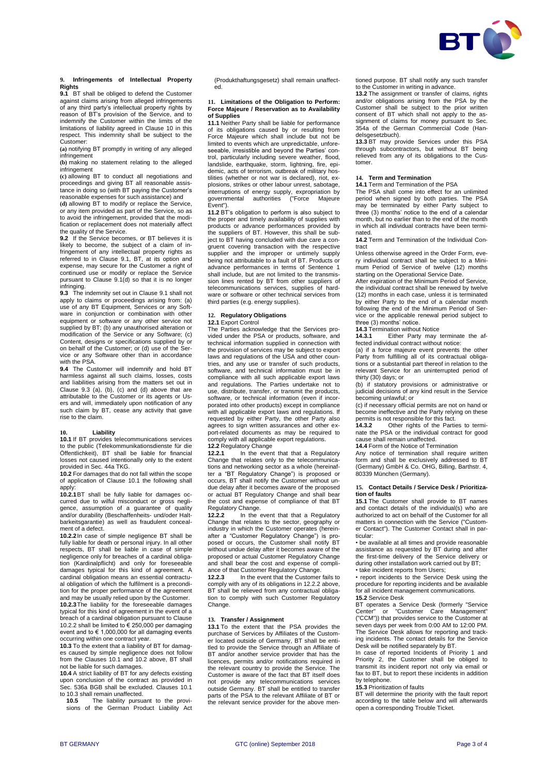

### **9. Infringements of Intellectual Property Rights**

<span id="page-2-1"></span>**9.1** BT shall be obliged to defend the Customer against claims arising from alleged infringements of any third party's intellectual property rights by reason of BT's provision of the Service, and to indemnify the Customer within the limits of the limitations of liability agreed in Clause 10 in this respect. This indemnity shall be subject to the Customer:

**(a)** notifying BT promptly in writing of any alleged infringement

**(b)** making no statement relating to the alleged infringement

**(c)** allowing BT to conduct all negotiations and proceedings and giving BT all reasonable assistance in doing so (with BT paying the Customer's reasonable expenses for such assistance) and

**(d)** allowing BT to modify or replace the Service, or any item provided as part of the Service, so as to avoid the infringement, provided that the modification or replacement does not materially affect the quality of the Service.

**9.2** If the Service becomes, or BT believes it is likely to become, the subject of a claim of in-fringement of any intellectual property rights as referred to in Clause [9.1,](#page-2-1) BT, at its option and expense, may secure for the Customer a right of continued use or modify or replace the Service pursuant to Clause 9.1(d) so that it is no longer infringing.

**9.3** The indemnity set out in Clause 9.1 shall not apply to claims or proceedings arising from: (a) use of any BT Equipment, Services or any Software in conjunction or combination with other equipment or software or any other service not supplied by BT; (b) any unauthorised alteration or modification of the Service or any Software; (c) Content, designs or specifications supplied by or on behalf of the Customer; or (d) use of the Service or any Software other than in accordance with the PSA.

**9.4** The Customer will indemnify and hold BT harmless against all such claims, losses, costs and liabilities arising from the matters set out in Clause 9.3 (a), (b), (c) and (d) above that are attributable to the Customer or its agents or Us-ers and will, immediately upon notification of any such claim by BT, cease any activity that gave rise to the claim.

<span id="page-2-2"></span>**10. Liability 10.1** If BT provides telecommunications services to the public (Telekommunikationsdienste für die Öffentlichkeit), BT shall be liable for financial losses not caused intentionally only to the extent provided in Sec. 44a TKG.

**10.2** For damages that do not fall within the scope of application of Clause [10.1](#page-2-2) the following shall apply:

**10.2.1**BT shall be fully liable for damages oc-curred due to wilful misconduct or gross negligence, assumption of a guarantee of quality and/or durability (Beschaffenheits- und/oder Halt-barkeitsgarantie) as well as fraudulent conceal-

ment of a defect.<br>**10.2.2** In case of simple negligence BT shall be<br>fully liable for death or personal injury. In all other respects, BT shall be liable in case of simple negligence only for breaches of a cardinal obligation (Kardinalpflicht) and only for foreseeable damages typical for this kind of agreement. A cardinal obligation means an essential contractual obligation of which the fulfilment is a precondition for the proper performance of the agreement and may be usually relied upon by the Customer. **10.2.3**The liability for the foreseeable damages typical for this kind of agreement in the event of a breach of a cardinal obligation pursuant to Clause 10.2.2 shall be limited to € 250,000 per damaging event and to  $\epsilon$  1,000,000 for all damaging events occurring within one contract year.

**10.3** To the extent that a liability of BT for damages caused by simple negligence does not follow from the Clauses 10.1 and 10.2 above, BT shall not be liable for such damages.

**10.4** A strict liability of BT for any defects existing upon conclusion of the contract as provided in Sec. 536a BGB shall be excluded. Clauses [10.1](#page-2-2) to 10.3 shall remain unaffected.

**10.5** The liability pursuant to the provi-sions of the German Product Liability Act

(Produkthaftungsgesetz) shall remain unaffected.

# **11. Limitations of the Obligation to Perform: Force Majeure / Reservation as to Availability of Supplies**

**11.1** Neither Party shall be liable for performance of its obligations caused by or resulting from Force Majeure which shall include but not be limited to events which are unpredictable, unfore-seeable, irresistible and beyond the Parties' control, particularly including severe weather, flood, landslide, earthquake, storm, lightning, fire, epi-demic, acts of terrorism, outbreak of military hostilities (whether or not war is declared), riot, explosions, strikes or other labour unrest, sabotage, interruptions of energy supply, expropriation by governmental authorities ("Force Majeure Event").

**11.2** BT's obligation to perform is also subject to the proper and timely availability of supplies with products or advance performances provided by the suppliers of BT. However, this shall be subject to BT having concluded with due care a congruent covering transaction with the respective supplier and the improper or untimely supply being not attributable to a fault of BT. Products or advance performances in terms of Sentence 1 shall include, but are not limited to the transmis-sion lines rented by BT from other suppliers of telecommunications services, supplies of hard-ware or software or other technical services from third parties (e.g. energy supplies).

#### **12. Regulatory Obligations**

### **12.1** Export Control

The Parties acknowledge that the Services provided under the PSA or products, software, and technical information supplied in connection with the provision of services may be subject to export laws and regulations of the USA and other countries, and any use or transfer of such products, software, and technical information must be in compliance with all such applicable export laws and regulations. The Parties undertake not to use, distribute, transfer, or transmit the products, software, or technical information (even if incorporated into other products) except in compliance with all applicable export laws and regulations. If requested by either Party, the other Party also agrees to sign written assurances and other export-related documents as may be required to comply with all applicable export regulations. **12.2** Regulatory Change

**12.2.1** In the event that that a Regulatory Change that relates only to the telecommunications and networking sector as a whole (hereinafter a "BT Regulatory Change") is proposed or occurs, BT shall notify the Customer without undue delay after it becomes aware of the proposed or actual BT Regulatory Change and shall bear the cost and expense of compliance of that BT Regulatory Change.

**12.2.2** In the event that that a Regulatory Change that relates to the sector, geography or industry in which the Customer operates (herein-after a "Customer Regulatory Change") is pro-posed or occurs, the Customer shall notify BT without undue delay after it becomes aware of the proposed or actual Customer Regulatory Change and shall bear the cost and expense of compli-

ance of that Customer Regulatory Change.<br>**12.2.3** In the event that the Customer fails to comply with any of its obligations in 12.2.2 above, BT shall be relieved from any contractual obliga-tion to comply with such Customer Regulatory Change.

## **13. Transfer / Assignment**

<span id="page-2-0"></span>**13.1** To the extent that the PSA provides the purchase of Services by Affiliates of the Customer located outside of Germany, BT shall be entitled to provide the Service through an Affiliate of BT and/or another service provider that has the licences, permits and/or notifications required in the relevant country to provide the Service. The Customer is aware of the fact that BT itself does not provide any telecommunications services outside Germany. BT shall be entitled to transfer parts of the PSA to the relevant Affiliate of BT or the relevant service provider for the above mentioned purpose. BT shall notify any such transfer to the Customer in writing in advance.

**13.2** The assignment or transfer of claims, rights and/or obligations arising from the PSA by the Customer shall be subject to the prior written consent of BT which shall not apply to the assignment of claims for money pursuant to Sec. 354a of the German Commercial Code (Han-delsgesetzbuch).

**13.3** BT may provide Services under this PSA through subcontractors, but without BT being relieved from any of its obligations to the Customer.

#### **14. Term and Termination**

**14.1** Term and Termination of the PSA The PSA shall come into effect for an unlimited period when signed by both parties. The PSA may be terminated by either Party subject to three (3) months' notice to the end of a calendar month, but no earlier than to the end of the month in which all individual contracts have been terminated.

**14.2** Term and Termination of the Individual Contract

Unless otherwise agreed in the Order Form, every individual contract shall be subject to a Minimum Period of Service of twelve (12) months starting on the Operational Service Date.

After expiration of the Minimum Period of Service, the individual contract shall be renewed by twelve (12) months in each case, unless it is terminated by either Party to the end of a calendar month following the end of the Minimum Period of Service or the applicable renewal period subject to three (3) months' notice.

**14.3** Termination without Notice<br>**14.3.1** Fither Party may

**14.3.1** Either Party may terminate the affected individual contract without notice:

(a) if a force majeure event prevents the other Party from fulfilling all of its contractual obligations or a substantial part thereof in relation to the relevant Service for an uninterrupted period of thirty (30) days; or

(b) if statutory provisions or administrative or judicial decisions of any kind result in the Service becoming unlawful; or

(c) if necessary official permits are not on hand or become ineffective and the Party relying on these permits is not responsible for this fact.

**14.3.2** Other rights of the Parties to terminate the PSA or the individual contract for good cause shall remain unaffected.

**14.4** Form of the Notice of Termination

Any notice of termination shall require written form and shall be exclusively addressed to BT (Germany) GmbH & Co. OHG, Billing, Barthstr. 4, 80339 München (Germany).

#### **15. Contact Details / Service Desk / Prioritization of faults**

**15.1** The Customer shall provide to BT names and contact details of the individual(s) who are authorized to act on behalf of the Customer for all matters in connection with the Service ("Customer Contact"). The Customer Contact shall in particular:

• be available at all times and provide reasonable assistance as requested by BT during and after the first-time delivery of the Service delivery or during other installation work carried out by BT;

• take incident reports from Users;

• report incidents to the Service Desk using the procedure for reporting incidents and be available for all incident management communications. **15.2** Service Desk

BT operates a Service Desk (formerly "Service Center" or "Customer Care Management" ("CCM")) that provides service to the Customer at seven days per week from 0:00 AM to 12:00 PM. The Service Desk allows for reporting and track-ing incidents. The contact details for the Service Desk will be notified separately by BT.

In case of reported Incidents of Priority 1 and Priority 2, the Customer shall be obliged to transmit its incident report not only via email or fax to BT, but to report these incidents in addition by telephone.

### **15.3** Prioritization of faults

BT will determine the priority with the fault report according to the table below and will afterwards open a corresponding Trouble Ticket.